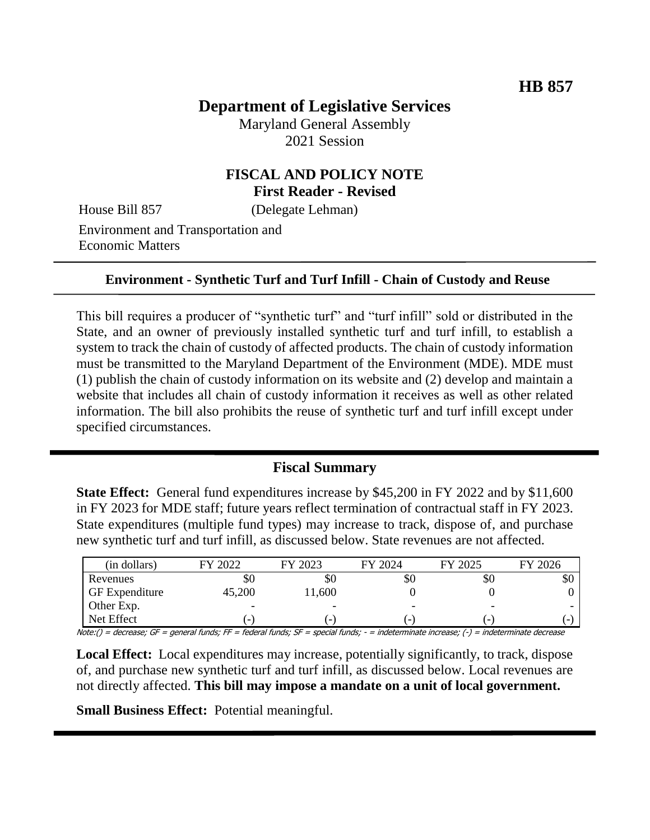# **Department of Legislative Services**

Maryland General Assembly 2021 Session

## **FISCAL AND POLICY NOTE First Reader - Revised**

House Bill 857 (Delegate Lehman)

Environment and Transportation and Economic Matters

#### **Environment - Synthetic Turf and Turf Infill - Chain of Custody and Reuse**

This bill requires a producer of "synthetic turf" and "turf infill" sold or distributed in the State, and an owner of previously installed synthetic turf and turf infill, to establish a system to track the chain of custody of affected products. The chain of custody information must be transmitted to the Maryland Department of the Environment (MDE). MDE must (1) publish the chain of custody information on its website and (2) develop and maintain a website that includes all chain of custody information it receives as well as other related information. The bill also prohibits the reuse of synthetic turf and turf infill except under specified circumstances.

#### **Fiscal Summary**

**State Effect:** General fund expenditures increase by \$45,200 in FY 2022 and by \$11,600 in FY 2023 for MDE staff; future years reflect termination of contractual staff in FY 2023. State expenditures (multiple fund types) may increase to track, dispose of, and purchase new synthetic turf and turf infill, as discussed below. State revenues are not affected.

| (in dollars)          | FY 2022 | FY 2023                  | FY 2024                  | FY 2025                  | FY 2026                  |
|-----------------------|---------|--------------------------|--------------------------|--------------------------|--------------------------|
| Revenues              | Y0      | ЭU                       | УU                       | УO                       | ъU                       |
| <b>GF</b> Expenditure | 45,200  | 1,600                    |                          |                          |                          |
| Other Exp.            | -       | -                        | $\overline{\phantom{0}}$ | -                        | $\overline{\phantom{0}}$ |
| Net Effect            |         | $\overline{\phantom{a}}$ | $\overline{\phantom{a}}$ | $\overline{\phantom{a}}$ |                          |

Note:() = decrease; GF = general funds; FF = federal funds; SF = special funds; - = indeterminate increase; (-) = indeterminate decrease

**Local Effect:** Local expenditures may increase, potentially significantly, to track, dispose of, and purchase new synthetic turf and turf infill, as discussed below. Local revenues are not directly affected. **This bill may impose a mandate on a unit of local government.**

**Small Business Effect:** Potential meaningful.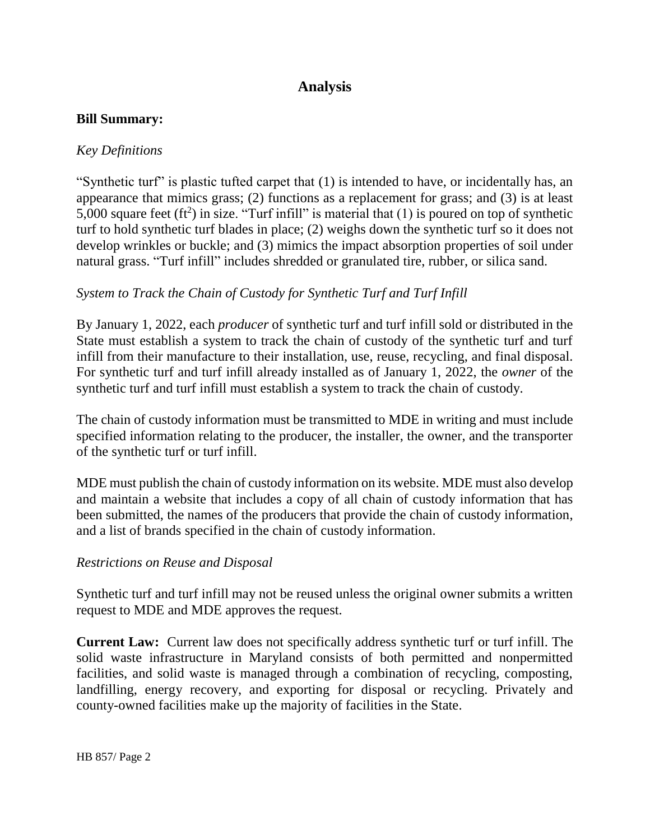# **Analysis**

### **Bill Summary:**

## *Key Definitions*

"Synthetic turf" is plastic tufted carpet that (1) is intended to have, or incidentally has, an appearance that mimics grass; (2) functions as a replacement for grass; and (3) is at least 5,000 square feet (ft<sup>2</sup>) in size. "Turf infill" is material that (1) is poured on top of synthetic turf to hold synthetic turf blades in place; (2) weighs down the synthetic turf so it does not develop wrinkles or buckle; and (3) mimics the impact absorption properties of soil under natural grass. "Turf infill" includes shredded or granulated tire, rubber, or silica sand.

## *System to Track the Chain of Custody for Synthetic Turf and Turf Infill*

By January 1, 2022, each *producer* of synthetic turf and turf infill sold or distributed in the State must establish a system to track the chain of custody of the synthetic turf and turf infill from their manufacture to their installation, use, reuse, recycling, and final disposal. For synthetic turf and turf infill already installed as of January 1, 2022, the *owner* of the synthetic turf and turf infill must establish a system to track the chain of custody.

The chain of custody information must be transmitted to MDE in writing and must include specified information relating to the producer, the installer, the owner, and the transporter of the synthetic turf or turf infill.

MDE must publish the chain of custody information on its website. MDE must also develop and maintain a website that includes a copy of all chain of custody information that has been submitted, the names of the producers that provide the chain of custody information, and a list of brands specified in the chain of custody information.

#### *Restrictions on Reuse and Disposal*

Synthetic turf and turf infill may not be reused unless the original owner submits a written request to MDE and MDE approves the request.

**Current Law:** Current law does not specifically address synthetic turf or turf infill. The solid waste infrastructure in Maryland consists of both permitted and nonpermitted facilities, and solid waste is managed through a combination of recycling, composting, landfilling, energy recovery, and exporting for disposal or recycling. Privately and county-owned facilities make up the majority of facilities in the State.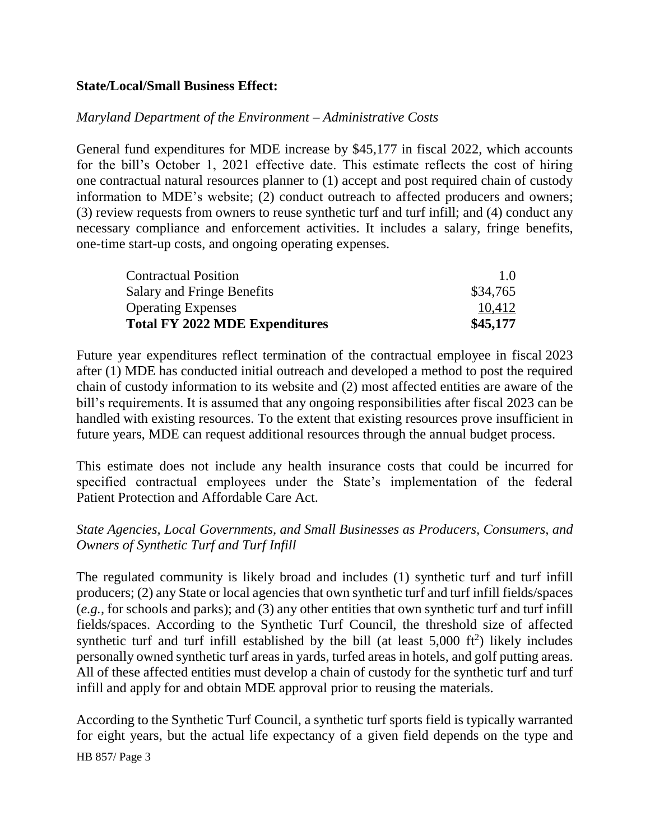### **State/Local/Small Business Effect:**

### *Maryland Department of the Environment – Administrative Costs*

General fund expenditures for MDE increase by \$45,177 in fiscal 2022, which accounts for the bill's October 1, 2021 effective date. This estimate reflects the cost of hiring one contractual natural resources planner to (1) accept and post required chain of custody information to MDE's website; (2) conduct outreach to affected producers and owners; (3) review requests from owners to reuse synthetic turf and turf infill; and (4) conduct any necessary compliance and enforcement activities. It includes a salary, fringe benefits, one-time start-up costs, and ongoing operating expenses.

| <b>Contractual Position</b>           | 1.0      |
|---------------------------------------|----------|
| Salary and Fringe Benefits            | \$34,765 |
| <b>Operating Expenses</b>             | 10,412   |
| <b>Total FY 2022 MDE Expenditures</b> | \$45,177 |

Future year expenditures reflect termination of the contractual employee in fiscal 2023 after (1) MDE has conducted initial outreach and developed a method to post the required chain of custody information to its website and (2) most affected entities are aware of the bill's requirements. It is assumed that any ongoing responsibilities after fiscal 2023 can be handled with existing resources. To the extent that existing resources prove insufficient in future years, MDE can request additional resources through the annual budget process.

This estimate does not include any health insurance costs that could be incurred for specified contractual employees under the State's implementation of the federal Patient Protection and Affordable Care Act.

## *State Agencies, Local Governments, and Small Businesses as Producers, Consumers, and Owners of Synthetic Turf and Turf Infill*

The regulated community is likely broad and includes (1) synthetic turf and turf infill producers; (2) any State or local agencies that own synthetic turf and turf infill fields/spaces (*e.g.,* for schools and parks); and (3) any other entities that own synthetic turf and turf infill fields/spaces. According to the Synthetic Turf Council, the threshold size of affected synthetic turf and turf infill established by the bill (at least  $5,000$  ft<sup>2</sup>) likely includes personally owned synthetic turf areas in yards, turfed areas in hotels, and golf putting areas. All of these affected entities must develop a chain of custody for the synthetic turf and turf infill and apply for and obtain MDE approval prior to reusing the materials.

According to the Synthetic Turf Council, a synthetic turf sports field is typically warranted for eight years, but the actual life expectancy of a given field depends on the type and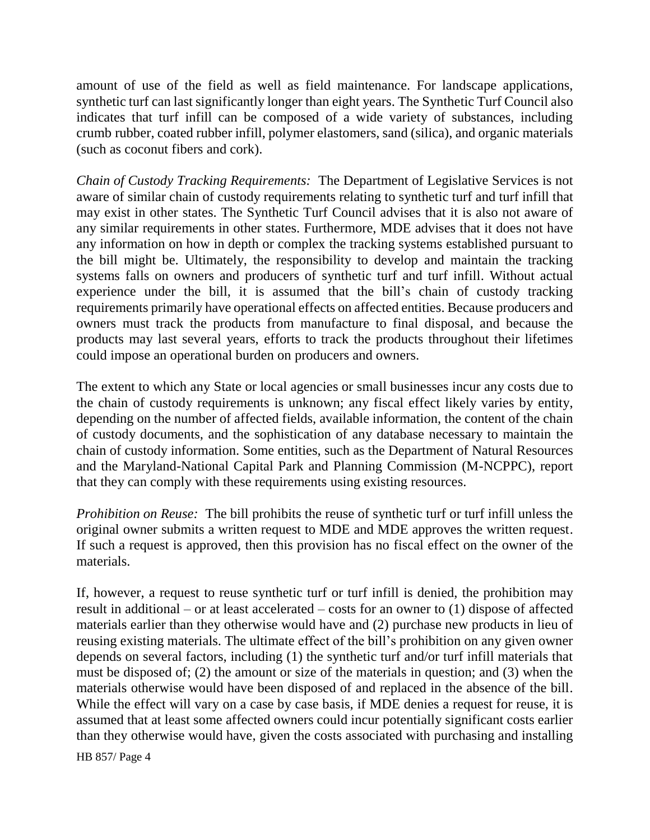amount of use of the field as well as field maintenance. For landscape applications, synthetic turf can last significantly longer than eight years. The Synthetic Turf Council also indicates that turf infill can be composed of a wide variety of substances, including crumb rubber, coated rubber infill, polymer elastomers, sand (silica), and organic materials (such as coconut fibers and cork).

*Chain of Custody Tracking Requirements:* The Department of Legislative Services is not aware of similar chain of custody requirements relating to synthetic turf and turf infill that may exist in other states. The Synthetic Turf Council advises that it is also not aware of any similar requirements in other states. Furthermore, MDE advises that it does not have any information on how in depth or complex the tracking systems established pursuant to the bill might be. Ultimately, the responsibility to develop and maintain the tracking systems falls on owners and producers of synthetic turf and turf infill. Without actual experience under the bill, it is assumed that the bill's chain of custody tracking requirements primarily have operational effects on affected entities. Because producers and owners must track the products from manufacture to final disposal, and because the products may last several years, efforts to track the products throughout their lifetimes could impose an operational burden on producers and owners.

The extent to which any State or local agencies or small businesses incur any costs due to the chain of custody requirements is unknown; any fiscal effect likely varies by entity, depending on the number of affected fields, available information, the content of the chain of custody documents, and the sophistication of any database necessary to maintain the chain of custody information. Some entities, such as the Department of Natural Resources and the Maryland-National Capital Park and Planning Commission (M-NCPPC), report that they can comply with these requirements using existing resources.

*Prohibition on Reuse:* The bill prohibits the reuse of synthetic turf or turf infill unless the original owner submits a written request to MDE and MDE approves the written request. If such a request is approved, then this provision has no fiscal effect on the owner of the materials.

If, however, a request to reuse synthetic turf or turf infill is denied, the prohibition may result in additional – or at least accelerated – costs for an owner to (1) dispose of affected materials earlier than they otherwise would have and (2) purchase new products in lieu of reusing existing materials. The ultimate effect of the bill's prohibition on any given owner depends on several factors, including (1) the synthetic turf and/or turf infill materials that must be disposed of; (2) the amount or size of the materials in question; and (3) when the materials otherwise would have been disposed of and replaced in the absence of the bill. While the effect will vary on a case by case basis, if MDE denies a request for reuse, it is assumed that at least some affected owners could incur potentially significant costs earlier than they otherwise would have, given the costs associated with purchasing and installing